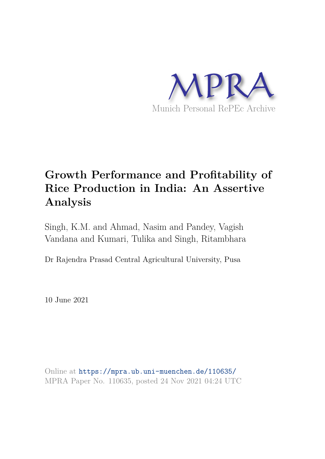

# **Growth Performance and Profitability of Rice Production in India: An Assertive Analysis**

Singh, K.M. and Ahmad, Nasim and Pandey, Vagish Vandana and Kumari, Tulika and Singh, Ritambhara

Dr Rajendra Prasad Central Agricultural University, Pusa

10 June 2021

Online at https://mpra.ub.uni-muenchen.de/110635/ MPRA Paper No. 110635, posted 24 Nov 2021 04:24 UTC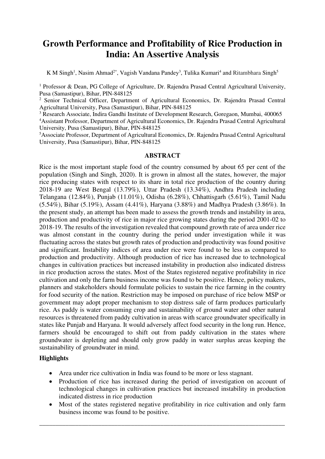# **Growth Performance and Profitability of Rice Production in India: An Assertive Analysis**

K M Singh<sup>1</sup>, Nasim Ahmad<sup>2\*</sup>, Vagish Vandana Pandey<sup>3</sup>, Tulika Kumari<sup>4</sup> and Ritambhara Singh<sup>5</sup>

<sup>1</sup> Professor & Dean, PG College of Agriculture, Dr. Rajendra Prasad Central Agricultural University, Pusa (Samastipur), Bihar, PIN-848125

<sup>2</sup> Senior Technical Officer, Department of Agricultural Economics, Dr. Rajendra Prasad Central Agricultural University, Pusa (Samastipur), Bihar, PIN-848125

<sup>3</sup> Research Associate, Indira Gandhi Institute of Development Research, Goregaon, Mumbai, 400065

<sup>4</sup>Assistant Professor, Department of Agricultural Economics, Dr. Rajendra Prasad Central Agricultural University, Pusa (Samastipur), Bihar, PIN-848125

<sup>5</sup>Associate Professor, Department of Agricultural Economics, Dr. Rajendra Prasad Central Agricultural University, Pusa (Samastipur), Bihar, PIN-848125

# **ABSTRACT**

Rice is the most important staple food of the country consumed by about 65 per cent of the population (Singh and Singh, 2020). It is grown in almost all the states, however, the major rice producing states with respect to its share in total rice production of the country during 2018-19 are West Bengal (13.79%), Uttar Pradesh (13.34%), Andhra Pradesh including Telangana (12.84%), Punjab (11.01%), Odisha (6.28%), Chhattisgarh (5.61%), Tamil Nadu (5.54%), Bihar (5.19%), Assam (4.41%), Haryana (3.88%) and Madhya Pradesh (3.86%). In the present study, an attempt has been made to assess the growth trends and instability in area, production and productivity of rice in major rice growing states during the period 2001-02 to 2018-19. The results of the investigation revealed that compound growth rate of area under rice was almost constant in the country during the period under investigation while it was fluctuating across the states but growth rates of production and productivity was found positive and significant. Instability indices of area under rice were found to be less as compared to production and productivity. Although production of rice has increased due to technological changes in cultivation practices but increased instability in production also indicated distress in rice production across the states. Most of the States registered negative profitability in rice cultivation and only the farm business income was found to be positive. Hence, policy makers, planners and stakeholders should formulate policies to sustain the rice farming in the country for food security of the nation. Restriction may be imposed on purchase of rice below MSP or government may adopt proper mechanism to stop distress sale of farm produces particularly rice. As paddy is water consuming crop and sustainability of ground water and other natural resources is threatened from paddy cultivation in areas with scarce groundwater specifically in states like Punjab and Haryana. It would adversely affect food security in the long run. Hence, farmers should be encouraged to shift out from paddy cultivation in the states where groundwater is depleting and should only grow paddy in water surplus areas keeping the sustainability of groundwater in mind.

# **Highlights**

- Area under rice cultivation in India was found to be more or less stagnant.
- Production of rice has increased during the period of investigation on account of technological changes in cultivation practices but increased instability in production indicated distress in rice production
- Most of the states registered negative profitability in rice cultivation and only farm business income was found to be positive.

\_\_\_\_\_\_\_\_\_\_\_\_\_\_\_\_\_\_\_\_\_\_\_\_\_\_\_\_\_\_\_\_\_\_\_\_\_\_\_\_\_\_\_\_\_\_\_\_\_\_\_\_\_\_\_\_\_\_\_\_\_\_\_\_\_\_\_\_\_\_\_\_\_\_\_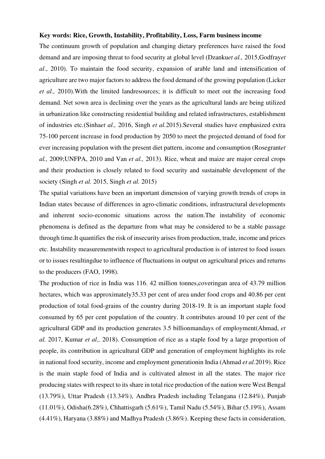## **Key words: Rice, Growth, Instability, Profitability, Loss, Farm business income**

The continuum growth of population and changing dietary preferences have raised the food demand and are imposing threat to food security at global level (Dzanku*et al.,* 2015,Godfray*et al*., 2010). To maintain the food security, expansion of arable land and intensification of agriculture are two major factors to address the food demand of the growing population (Licker *et al.,* 2010).With the limited landresources; it is difficult to meet out the increasing food demand. Net sown area is declining over the years as the agricultural lands are being utilized in urbanization like constructing residential building and related infrastructures, establishment of industries etc.(Sinha*et al.,* 2016, Singh *et al.*2015).Several studies have emphasized extra 75-100 percent increase in food production by 2050 to meet the projected demand of food for ever increasing population with the present diet pattern, income and consumption (Rosegrant*et al.,* 2009;UNFPA, 2010 and Van *et al.,* 2013). Rice, wheat and maize are major cereal crops and their production is closely related to food security and sustainable development of the society (Singh *et al.* 2015, Singh *et al.* 2015)

The spatial variations have been an important dimension of varying growth trends of crops in Indian states because of differences in agro-climatic conditions, infrastructural developments and inherent socio-economic situations across the nation.The instability of economic phenomena is defined as the departure from what may be considered to be a stable passage through time.It quantifies the risk of insecurity arises from production, trade, income and prices etc. Instability measurementwith respect to agricultural production is of interest to food issues or to issues resultingdue to influence of fluctuations in output on agricultural prices and returns to the producers (FAO, 1998).

The production of rice in India was 116. 42 million tonnes,coveringan area of 43.79 million hectares, which was approximately35.33 per cent of area under food crops and 40.86 per cent production of total food-grains of the country during 2018-19. It is an important staple food consumed by 65 per cent population of the country. It contributes around 10 per cent of the agricultural GDP and its production generates 3.5 billionmandays of employment(Ahmad, *et al.* 2017, Kumar *et al.,* 2018). Consumption of rice as a staple food by a large proportion of people, its contribution in agricultural GDP and generation of employment highlights its role in national food security, income and employment generationin India (Ahmad *et al.*2019). Rice is the main staple food of India and is cultivated almost in all the states. The major rice producing states with respect to its share in total rice production of the nation were West Bengal (13.79%), Uttar Pradesh (13.34%), Andhra Pradesh including Telangana (12.84%), Punjab (11.01%), Odisha(6.28%), Chhattisgarh (5.61%), Tamil Nadu (5.54%), Bihar (5.19%), Assam (4.41%), Haryana (3.88%) and Madhya Pradesh (3.86%). Keeping these facts in consideration,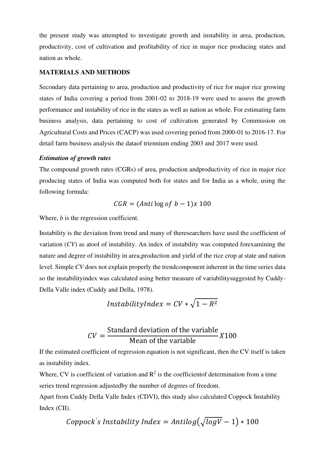the present study was attempted to investigate growth and instability in area, production, productivity, cost of cultivation and profitability of rice in major rice producing states and nation as whole.

# **MATERIALS AND METHODS**

Secondary data pertaining to area, production and productivity of rice for major rice growing states of India covering a period from 2001-02 to 2018-19 were used to assess the growth performance and instability of rice in the states as well as nation as whole. For estimating farm business analysis, data pertaining to cost of cultivation generated by Commission on Agricultural Costs and Prices (CACP) was used covering period from 2000-01 to 2016-17. For detail farm business analysis the dataof triennium ending 2003 and 2017 were used.

## *Estimation of growth rates*

The compound growth rates (CGRs) of area, production andproductivity of rice in major rice producing states of India was computed both for states and for India as a whole, using the following formula:

$$
CGR = (Anti \log of b - 1)x \ 100
$$

Where, *b* is the regression coefficient.

Instability is the deviation from trend and many of theresearchers have used the coefficient of variation (*CV*) as atool of instability. An index of instability was computed forexamining the nature and degree of instability in area,production and yield of the rice crop at state and nation level. Simple *CV* does not explain properly the trendcomponent inherent in the time series data so the instabilityindex was calculated using better measure of variabilitysuggested by Cuddy-Della Valle index (Cuddy and Della, 1978).

$$
InstabilityIndex = CV * \sqrt{1 - R^2}
$$

$$
CV = \frac{\text{Standard deviation of the variable}}{\text{Mean of the variable}} X100
$$

If the estimated coefficient of regression equation is not significant, then the CV itself is taken as instability index.

Where, CV is coefficient of variation and  $\mathbb{R}^2$  is the coefficient determination from a time series trend regression adjustedby the number of degrees of freedom.

Apart from Cuddy Della Valle Index (CDVI), this study also calculated Coppock Instability Index (CII).

$$
Coppock's Instability Index = Antilog(\sqrt{logV}-1) * 100
$$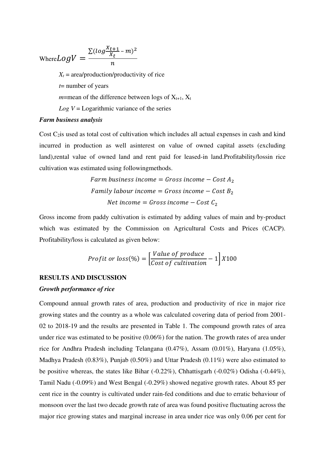Where
$$
Log V = \frac{\sum (log \frac{X_{t+1}}{X_t} - m)^2}{n}
$$
  

$$
X_t = area/production/productivity of rice
$$
  
 $t =$  number of years  
 $m$ =mean of the difference between logs of X<sub>t+1</sub>, X<sub>t</sub>  
 $Log V = Logarithmic variance of the series$ 

#### *Farm business analysis*

Cost  $C_2$  is used as total cost of cultivation which includes all actual expenses in cash and kind incurred in production as well asinterest on value of owned capital assets (excluding land),rental value of owned land and rent paid for leased-in land.Profitability/lossin rice cultivation was estimated using followingmethods.

 = − <sup>2</sup> = − <sup>2</sup> = − <sup>2</sup>

Gross income from paddy cultivation is estimated by adding values of main and by-product which was estimated by the Commission on Agricultural Costs and Prices (CACP). Profitability/loss is calculated as given below:

$$
Profit\ or\ loss(\%) = \left[\frac{Value\ of\ produce}{Cost\ of\ cultivation} - 1\right] X100
$$

# **RESULTS AND DISCUSSION**

#### *Growth performance of rice*

Compound annual growth rates of area, production and productivity of rice in major rice growing states and the country as a whole was calculated covering data of period from 2001- 02 to 2018-19 and the results are presented in Table 1. The compound growth rates of area under rice was estimated to be positive (0.06%) for the nation. The growth rates of area under rice for Andhra Pradesh including Telangana (0.47%), Assam (0.01%), Haryana (1.05%), Madhya Pradesh (0.83%), Punjab (0.50%) and Uttar Pradesh (0.11%) were also estimated to be positive whereas, the states like Bihar (-0.22%), Chhattisgarh (-0.02%) Odisha (-0.44%), Tamil Nadu (-0.09%) and West Bengal (-0.29%) showed negative growth rates. About 85 per cent rice in the country is cultivated under rain-fed conditions and due to erratic behaviour of monsoon over the last two decade growth rate of area was found positive fluctuating across the major rice growing states and marginal increase in area under rice was only 0.06 per cent for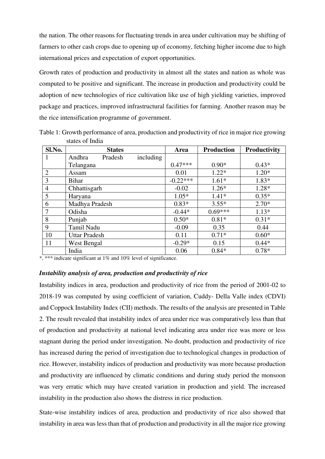the nation. The other reasons for fluctuating trends in area under cultivation may be shifting of farmers to other cash crops due to opening up of economy, fetching higher income due to high international prices and expectation of export opportunities.

Growth rates of production and productivity in almost all the states and nation as whole was computed to be positive and significant. The increase in production and productivity could be adoption of new technologies of rice cultivation like use of high yielding varieties, improved package and practices, improved infrastructural facilities for farming. Another reason may be the rice intensification programme of government.

| Sl.No.         | <b>States</b>                  | Area       | <b>Production</b> | Productivity<br>$0.43*$<br>$1.20*$<br>$1.83*$<br>$1.28*$<br>$0.35*$<br>$2.70*$<br>$1.13*$<br>$0.31*$ |  |  |
|----------------|--------------------------------|------------|-------------------|------------------------------------------------------------------------------------------------------|--|--|
| 1              | Pradesh<br>Andhra<br>including |            |                   |                                                                                                      |  |  |
|                | Telangana                      | $0.47***$  | $0.90*$           |                                                                                                      |  |  |
| $\overline{2}$ | Assam                          | 0.01       | $1.22*$           |                                                                                                      |  |  |
| 3              | <b>Bihar</b>                   | $-0.22***$ | $1.61*$           |                                                                                                      |  |  |
| $\overline{4}$ | Chhattisgarh                   | $-0.02$    | $1.26*$           |                                                                                                      |  |  |
| 5              | Haryana                        | $1.05*$    | $1.41*$           |                                                                                                      |  |  |
| 6              | Madhya Pradesh                 | $0.83*$    | $3.55*$           |                                                                                                      |  |  |
| 7              | Odisha                         | $-0.44*$   | $0.69***$         |                                                                                                      |  |  |
| 8              | Punjab                         | $0.50*$    | $0.81*$           |                                                                                                      |  |  |
| 9              | Tamil Nadu                     | $-0.09$    | 0.35              | 0.44                                                                                                 |  |  |
| 10             | <b>Uttar Pradesh</b>           | 0.11       | $0.71*$           | $0.60*$                                                                                              |  |  |
| 11             | West Bengal                    | $-0.29*$   | 0.15              | $0.44*$                                                                                              |  |  |
|                | India                          | 0.06       | $0.84*$           | $0.78*$                                                                                              |  |  |

Table 1: Growth performance of area, production and productivity of rice in major rice growing states of India

\*, \*\*\* indicate significant at 1% and 10% level of significance.

# *Instability analysis of area, production and productivity of rice*

Instability indices in area, production and productivity of rice from the period of 2001-02 to 2018-19 was computed by using coefficient of variation, Cuddy- Della Valle index (CDVI) and Coppock Instability Index (CII) methods. The results of the analysis are presented in Table 2. The result revealed that instability index of area under rice was comparatively less than that of production and productivity at national level indicating area under rice was more or less stagnant during the period under investigation. No doubt, production and productivity of rice has increased during the period of investigation due to technological changes in production of rice. However, instability indices of production and productivity was more because production and productivity are influenced by climatic conditions and during study period the monsoon was very erratic which may have created variation in production and yield. The increased instability in the production also shows the distress in rice production.

State-wise instability indices of area, production and productivity of rice also showed that instability in area was less than that of production and productivity in all the major rice growing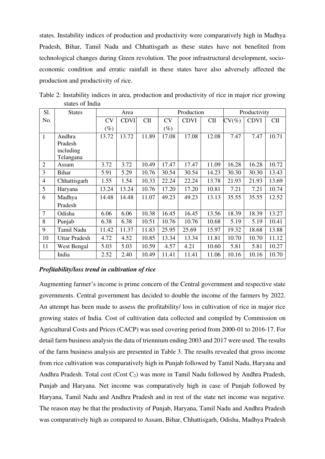states. Instability indices of production and productivity were comparatively high in Madhya Pradesh, Bihar, Tamil Nadu and Chhattisgarh as these states have not benefited from technological changes during Green revolution. The poor infrastructural development, socioeconomic condition and erratic rainfall in these states have also adversely affected the production and productivity of rice.

| S1.            | <b>States</b>        | Area      |             |       |           | Production  |            | Productivity |             |       |  |
|----------------|----------------------|-----------|-------------|-------|-----------|-------------|------------|--------------|-------------|-------|--|
| No.            |                      | <b>CV</b> | <b>CDVI</b> | $CI$  | <b>CV</b> | <b>CDVI</b> | <b>CII</b> | $CV(\%)$     | <b>CDVI</b> | $CI$  |  |
|                |                      | $(\%)$    |             |       | $(\%)$    |             |            |              |             |       |  |
| 1              | Andhra               | 13.72     | 13.72       | 11.89 | 17.08     | 17.08       | 12.08      | 7.47         | 7.47        | 10.71 |  |
|                | Pradesh              |           |             |       |           |             |            |              |             |       |  |
|                | including            |           |             |       |           |             |            |              |             |       |  |
|                | Telangana            |           |             |       |           |             |            |              |             |       |  |
| $\overline{2}$ | Assam                | 3.72      | 3.72        | 10.49 | 17.47     | 17.47       | 11.09      | 16.28        | 16.28       | 10.72 |  |
| 3              | <b>Bihar</b>         | 5.91      | 5.29        | 10.76 | 30.54     | 30.54       | 14.23      | 30.30        | 30.30       | 13.43 |  |
| $\overline{4}$ | Chhattisgarh         | 1.55      | 1.54        | 10.33 | 22.24     | 22.24       | 13.78      | 21.93        | 21.93       | 13.69 |  |
| 5              | Haryana              | 13.24     | 13.24       | 10.76 | 17.20     | 17.20       | 10.81      | 7.21         | 7.21        | 10.74 |  |
| 6              | Madhya               | 14.48     | 14.48       | 11.07 | 49.23     | 49.23       | 13.13      | 35.55        | 35.55       | 12.52 |  |
|                | Pradesh              |           |             |       |           |             |            |              |             |       |  |
| 7              | Odisha               | 6.06      | 6.06        | 10.38 | 16.45     | 16.45       | 13.56      | 18.39        | 18.39       | 13.27 |  |
| 8              | Punjab               | 6.38      | 6.38        | 10.51 | 10.76     | 10.76       | 10.68      | 5.19         | 5.19        | 10.41 |  |
| 9              | Tamil Nadu           | 11.42     | 11.37       | 11.83 | 25.95     | 25.69       | 15.97      | 19.32        | 18.68       | 13.88 |  |
| 10             | <b>Uttar Pradesh</b> | 4.72      | 4.52        | 10.85 | 13.34     | 13.34       | 11.81      | 10.70        | 10.70       | 11.12 |  |
| 11             | West Bengal          | 5.03      | 5.03        | 10.59 | 4.57      | 4.21        | 10.60      | 5.81         | 5.81        | 10.27 |  |
|                | India                | 2.52      | 2.40        | 10.49 | 11.41     | 11.41       | 11.06      | 10.16        | 10.16       | 10.70 |  |

Table 2: Instability indices in area, production and productivity of rice in major rice growing states of India

# *Profitability/loss trend in cultivation of rice*

Augmenting farmer's income is prime concern of the Central government and respective state governments. Central government has decided to double the income of the farmers by 2022. An attempt has been made to assess the profitability/ loss in cultivation of rice in major rice growing states of India. Cost of cultivation data collected and compiled by Commission on Agricultural Costs and Prices (CACP) was used covering period from 2000-01 to 2016-17. For detail farm business analysis the data of triennium ending 2003 and 2017 were used. The results of the farm business analysis are presented in Table 3. The results revealed that gross income from rice cultivation was comparatively high in Punjab followed by Tamil Nadu, Haryana and Andhra Pradesh. Total cost  $(Cost C_2)$  was more in Tamil Nadu followed by Andhra Pradesh, Punjab and Haryana. Net income was comparatively high in case of Punjab followed by Haryana, Tamil Nadu and Andhra Pradesh and in rest of the state net income was negative. The reason may be that the productivity of Punjab, Haryana, Tamil Nadu and Andhra Pradesh was comparatively high as compared to Assam, Bihar, Chhattisgarh, Odisha, Madhya Pradesh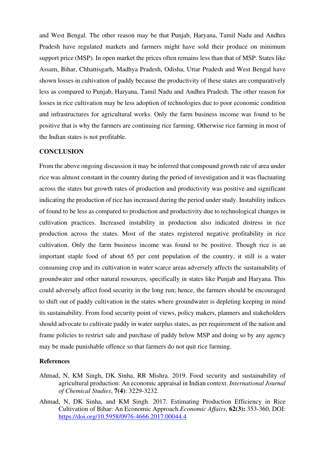and West Bengal. The other reason may be that Punjab, Haryana, Tamil Nadu and Andhra Pradesh have regulated markets and farmers might have sold their produce on minimum support price (MSP). In open market the prices often remains less than that of MSP. States like Assam, Bihar, Chhattisgarh, Madhya Pradesh, Odisha, Uttar Pradesh and West Bengal have shown losses in cultivation of paddy because the productivity of these states are comparatively less as compared to Punjab, Haryana, Tamil Nadu and Andhra Pradesh. The other reason for losses in rice cultivation may be less adoption of technologies due to poor economic condition and infrastructures for agricultural works. Only the farm business income was found to be positive that is why the farmers are continuing rice farming. Otherwise rice farming in most of the Indian states is not profitable.

#### **CONCLUSION**

From the above ongoing discussion it may be inferred that compound growth rate of area under rice was almost constant in the country during the period of investigation and it was fluctuating across the states but growth rates of production and productivity was positive and significant indicating the production of rice has increased during the period under study. Instability indices of found to be less as compared to production and productivity due to technological changes in cultivation practices. Increased instability in production also indicated distress in rice production across the states. Most of the states registered negative profitability in rice cultivation. Only the farm business income was found to be positive. Though rice is an important staple food of about 65 per cent population of the country, it still is a water consuming crop and its cultivation in water scarce areas adversely affects the sustainability of groundwater and other natural resources, specifically in states like Punjab and Haryana. This could adversely affect food security in the long run; hence, the farmers should be encouraged to shift out of paddy cultivation in the states where groundwater is depleting keeping in mind its sustainability. From food security point of views, policy makers, planners and stakeholders should advocate to cultivate paddy in water surplus states, as per requirement of the nation and frame policies to restrict sale and purchase of paddy below MSP and doing so by any agency may be made punishable offence so that farmers do not quit rice farming.

### **References**

- Ahmad, N, KM Singh, DK Sinha, RR Mishra. 2019. Food security and sustainability of agricultural production: An economic appraisal in Indian context. *International Journal of Chemical Studies*, **7(4)**: 3229-3232.
- Ahmad, N, DK Sinha, and KM Singh. 2017. Estimating Production Efficiency in Rice Cultivation of Bihar: An Economic Approach.*Economic Affairs*, **62(3):** 353-360, DOI: <https://doi.org/10.5958/0976-4666.2017.00044.4>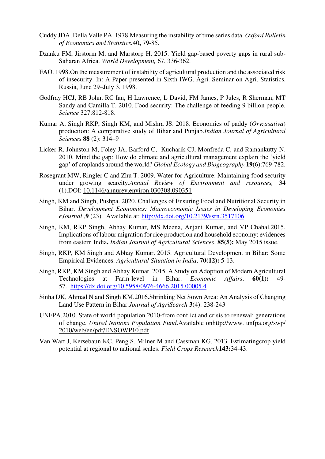- Cuddy JDA, Della Valle PA. 1978.Measuring the instability of time series data. *Oxford Bulletin of Economics and Statistics.*40**,** 79-85.
- Dzanku FM, Jirstorm M, and Marstorp H. 2015. Yield gap-based poverty gaps in rural sub-Saharan Africa. *World Development,* 67, 336-362.
- FAO. 1998.On the measurement of instability of agricultural production and the associated risk of insecurity. In: A Paper presented in Sixth IWG. Agri. Seminar on Agri. Statistics, Russia, June 29–July 3, 1998.
- Godfray HCJ, RB John, RC Ian, H Lawrence, L David, FM James, P Jules, R Sherman, MT Sandy and Camilla T. 2010. Food security: The challenge of feeding 9 billion people. *Science* 327:812-818.
- Kumar A, Singh RKP, Singh KM, and Mishra JS. 2018. Economics of paddy (*Oryzasativa*) production: A comparative study of Bihar and Punjab.*Indian Journal of Agricultural Sciences* **88** (2): 314–9
- Licker R, Johnston M, Foley JA, Barford C, Kucharik CJ, Monfreda C, and Ramankutty N. 2010. Mind the gap: How do climate and agricultural management explain the 'yield gap' of croplands around the world? *Global Ecology and Biogeography,***19**(6):769-782.
- Rosegrant MW, Ringler C and Zhu T. 2009. Water for Agriculture: Maintaining food security under growing scarcity.*Annual Review of Environment and resources,* 34 (1).DOI: [10.1146/annurev.environ.030308.090351](about:blank)
- Singh, KM and Singh, Pushpa. 2020. Challenges of Ensuring Food and Nutritional Security in Bihar. *Development Economics: Macroeconomic Issues in Developing Economies eJournal* ,**9** (23). Available at:<http://dx.doi.org/10.2139/ssrn.3517106>
- Singh, KM, RKP Singh, Abhay Kumar, MS Meena, Anjani Kumar, and VP Chahal.2015. Implications of labour migration for rice production and household economy: evidences from eastern India**.** *Indian Journal of Agricultural Sciences*. **85(5):** May 2015 issue.
- Singh, RKP, KM Singh and Abhay Kumar. 2015. Agricultural Development in Bihar: Some Empirical Evidences. *Agricultural Situation in India*, **70(12):** 5-13.
- Singh, RKP, KM Singh and Abhay Kumar. 2015. A Study on Adoption of Modern Agricultural Technologies at Farm-level in Bihar. *Economic Affairs*. **60(1):** 49- 57. <https://dx.doi.org/10.5958/0976-4666.2015.00005.4>
- Sinha DK, Ahmad N and Singh KM.2016.Shrinking Net Sown Area: An Analysis of Changing Land Use Pattern in Bihar.*Journal of AgriSearch* **3**(4): 238-243
- UNFPA.2010. State of world population 2010-from conflict and crisis to renewal: generations of change. *United Nations Population Fund*.Available onhttp://www. unfpa.org/swp/ 2010/web/en/pdf/ENSOWP10.pdf
- Van Wart J, Kersebaun KC, Peng S, Milner M and Cassman KG. 2013. Estimatingcrop yield potential at regional to national scales. *Field Crops Research***143:**34-43.